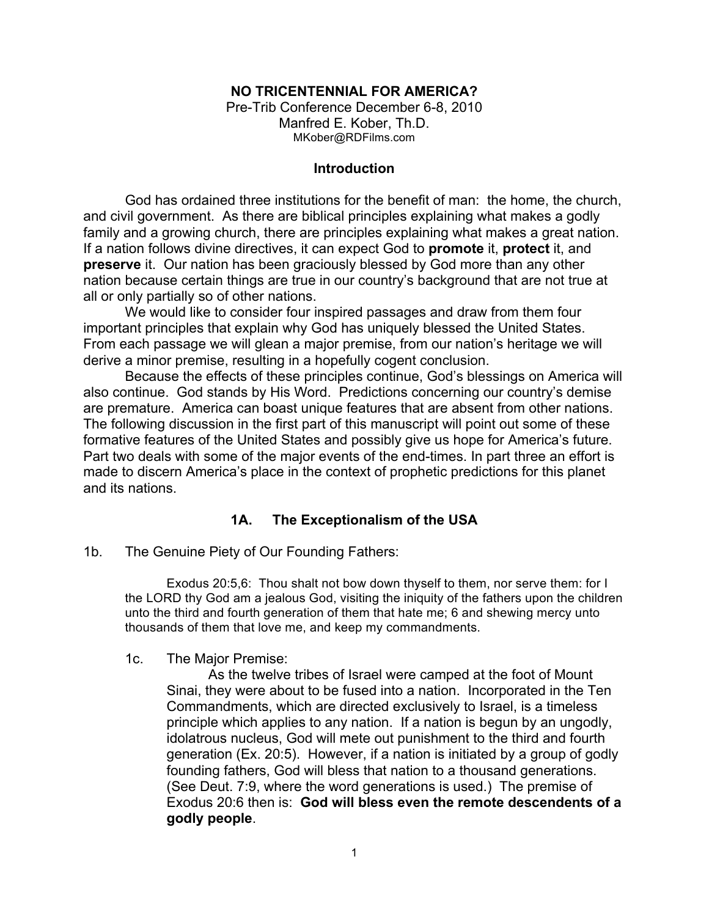## **NO TRICENTENNIAL FOR AMERICA?**

Pre-Trib Conference December 6-8, 2010 Manfred E. Kober, Th.D. MKober@RDFilms.com

### **Introduction**

God has ordained three institutions for the benefit of man: the home, the church, and civil government. As there are biblical principles explaining what makes a godly family and a growing church, there are principles explaining what makes a great nation. If a nation follows divine directives, it can expect God to **promote** it, **protect** it, and **preserve** it. Our nation has been graciously blessed by God more than any other nation because certain things are true in our country's background that are not true at all or only partially so of other nations.

We would like to consider four inspired passages and draw from them four important principles that explain why God has uniquely blessed the United States. From each passage we will glean a major premise, from our nation's heritage we will derive a minor premise, resulting in a hopefully cogent conclusion.

Because the effects of these principles continue, God's blessings on America will also continue. God stands by His Word. Predictions concerning our country's demise are premature. America can boast unique features that are absent from other nations. The following discussion in the first part of this manuscript will point out some of these formative features of the United States and possibly give us hope for America's future. Part two deals with some of the major events of the end-times. In part three an effort is made to discern America's place in the context of prophetic predictions for this planet and its nations.

## **1A. The Exceptionalism of the USA**

1b. The Genuine Piety of Our Founding Fathers:

Exodus 20:5,6: Thou shalt not bow down thyself to them, nor serve them: for I the LORD thy God am a jealous God, visiting the iniquity of the fathers upon the children unto the third and fourth generation of them that hate me; 6 and shewing mercy unto thousands of them that love me, and keep my commandments.

### 1c. The Major Premise:

As the twelve tribes of Israel were camped at the foot of Mount Sinai, they were about to be fused into a nation. Incorporated in the Ten Commandments, which are directed exclusively to Israel, is a timeless principle which applies to any nation. If a nation is begun by an ungodly, idolatrous nucleus, God will mete out punishment to the third and fourth generation (Ex. 20:5). However, if a nation is initiated by a group of godly founding fathers, God will bless that nation to a thousand generations. (See Deut. 7:9, where the word generations is used.) The premise of Exodus 20:6 then is: **God will bless even the remote descendents of a godly people**.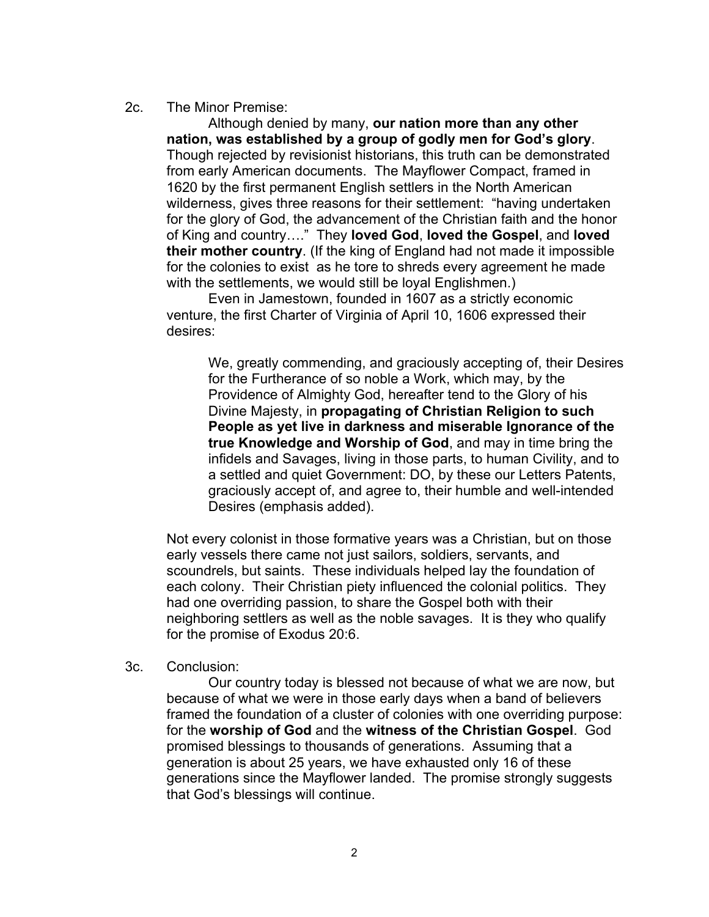### 2c. The Minor Premise:

Although denied by many, **our nation more than any other nation, was established by a group of godly men for God's glory**. Though rejected by revisionist historians, this truth can be demonstrated from early American documents. The Mayflower Compact, framed in 1620 by the first permanent English settlers in the North American wilderness, gives three reasons for their settlement: "having undertaken for the glory of God, the advancement of the Christian faith and the honor of King and country…." They **loved God**, **loved the Gospel**, and **loved their mother country**. (If the king of England had not made it impossible for the colonies to exist as he tore to shreds every agreement he made with the settlements, we would still be loyal Englishmen.)

Even in Jamestown, founded in 1607 as a strictly economic venture, the first Charter of Virginia of April 10, 1606 expressed their desires:

We, greatly commending, and graciously accepting of, their Desires for the Furtherance of so noble a Work, which may, by the Providence of Almighty God, hereafter tend to the Glory of his Divine Majesty, in **propagating of Christian Religion to such People as yet live in darkness and miserable Ignorance of the true Knowledge and Worship of God**, and may in time bring the infidels and Savages, living in those parts, to human Civility, and to a settled and quiet Government: DO, by these our Letters Patents, graciously accept of, and agree to, their humble and well-intended Desires (emphasis added).

Not every colonist in those formative years was a Christian, but on those early vessels there came not just sailors, soldiers, servants, and scoundrels, but saints. These individuals helped lay the foundation of each colony. Their Christian piety influenced the colonial politics. They had one overriding passion, to share the Gospel both with their neighboring settlers as well as the noble savages. It is they who qualify for the promise of Exodus 20:6.

#### 3c. Conclusion:

Our country today is blessed not because of what we are now, but because of what we were in those early days when a band of believers framed the foundation of a cluster of colonies with one overriding purpose: for the **worship of God** and the **witness of the Christian Gospel**. God promised blessings to thousands of generations. Assuming that a generation is about 25 years, we have exhausted only 16 of these generations since the Mayflower landed. The promise strongly suggests that God's blessings will continue.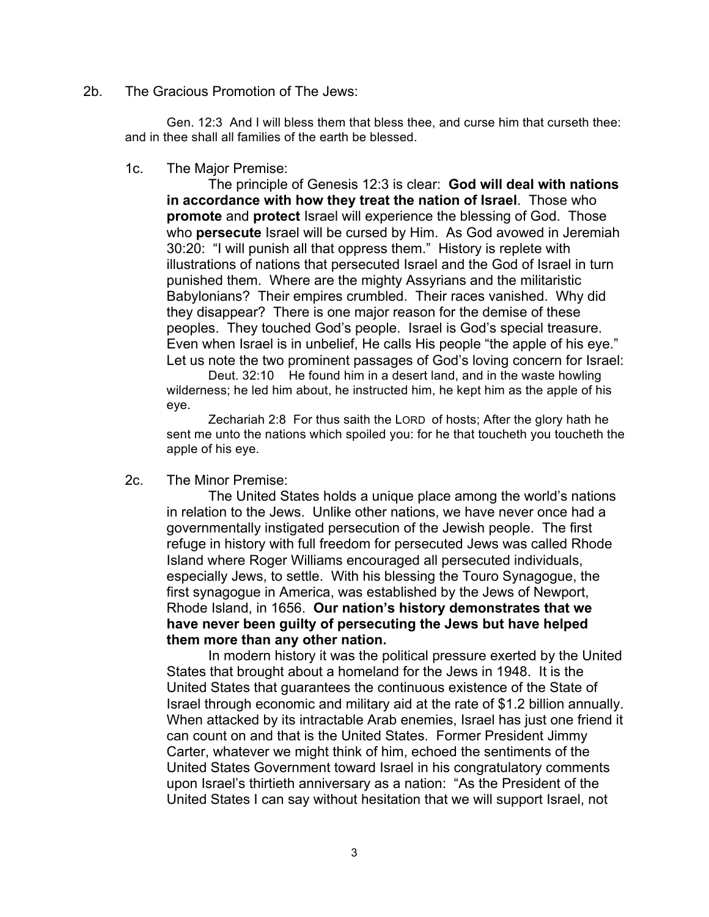2b. The Gracious Promotion of The Jews:

Gen. 12:3 And I will bless them that bless thee, and curse him that curseth thee: and in thee shall all families of the earth be blessed.

1c. The Major Premise:

The principle of Genesis 12:3 is clear: **God will deal with nations in accordance with how they treat the nation of Israel**. Those who **promote** and **protect** Israel will experience the blessing of God. Those who **persecute** Israel will be cursed by Him. As God avowed in Jeremiah 30:20: "I will punish all that oppress them." History is replete with illustrations of nations that persecuted Israel and the God of Israel in turn punished them. Where are the mighty Assyrians and the militaristic Babylonians? Their empires crumbled. Their races vanished. Why did they disappear? There is one major reason for the demise of these peoples. They touched God's people. Israel is God's special treasure. Even when Israel is in unbelief, He calls His people "the apple of his eye." Let us note the two prominent passages of God's loving concern for Israel:

Deut. 32:10 He found him in a desert land, and in the waste howling wilderness; he led him about, he instructed him, he kept him as the apple of his eye.

Zechariah 2:8 For thus saith the LORD of hosts; After the glory hath he sent me unto the nations which spoiled you: for he that toucheth you toucheth the apple of his eye.

2c. The Minor Premise:

The United States holds a unique place among the world's nations in relation to the Jews. Unlike other nations, we have never once had a governmentally instigated persecution of the Jewish people. The first refuge in history with full freedom for persecuted Jews was called Rhode Island where Roger Williams encouraged all persecuted individuals, especially Jews, to settle. With his blessing the Touro Synagogue, the first synagogue in America, was established by the Jews of Newport, Rhode Island, in 1656. **Our nation's history demonstrates that we have never been guilty of persecuting the Jews but have helped them more than any other nation.**

In modern history it was the political pressure exerted by the United States that brought about a homeland for the Jews in 1948. It is the United States that guarantees the continuous existence of the State of Israel through economic and military aid at the rate of \$1.2 billion annually. When attacked by its intractable Arab enemies, Israel has just one friend it can count on and that is the United States. Former President Jimmy Carter, whatever we might think of him, echoed the sentiments of the United States Government toward Israel in his congratulatory comments upon Israel's thirtieth anniversary as a nation: "As the President of the United States I can say without hesitation that we will support Israel, not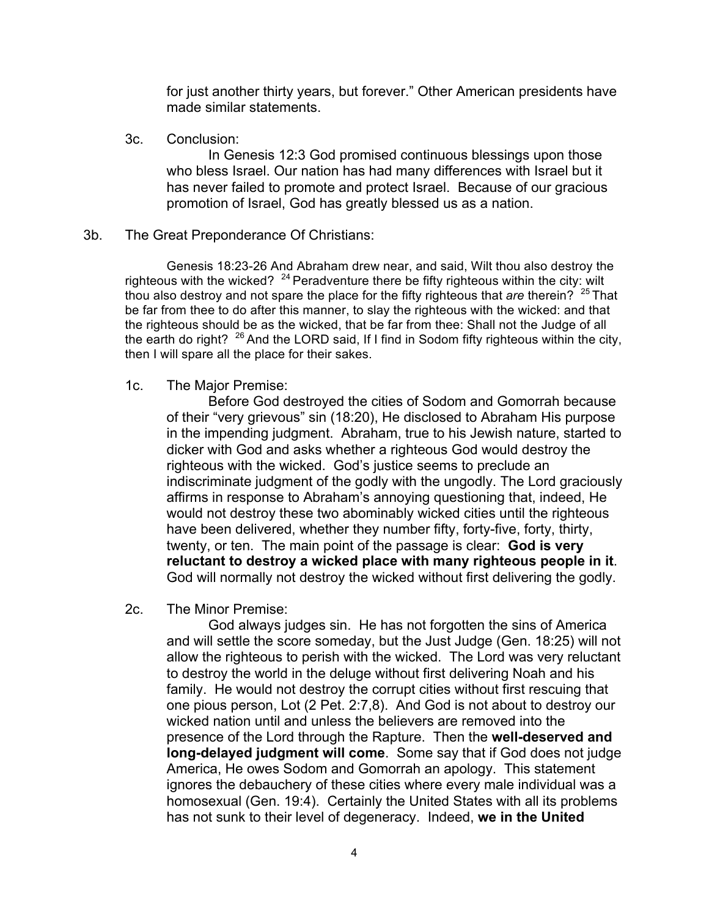for just another thirty years, but forever." Other American presidents have made similar statements.

3c. Conclusion:

In Genesis 12:3 God promised continuous blessings upon those who bless Israel. Our nation has had many differences with Israel but it has never failed to promote and protect Israel. Because of our gracious promotion of Israel, God has greatly blessed us as a nation.

3b. The Great Preponderance Of Christians:

Genesis 18:23-26 And Abraham drew near, and said, Wilt thou also destroy the righteous with the wicked?  $24$  Peradventure there be fifty righteous within the city: wilt thou also destroy and not spare the place for the fifty righteous that *are* therein? <sup>25</sup> That be far from thee to do after this manner, to slay the righteous with the wicked: and that the righteous should be as the wicked, that be far from thee: Shall not the Judge of all the earth do right?  $^{26}$  And the LORD said, If I find in Sodom fifty righteous within the city, then I will spare all the place for their sakes.

1c. The Major Premise:

Before God destroyed the cities of Sodom and Gomorrah because of their "very grievous" sin (18:20), He disclosed to Abraham His purpose in the impending judgment. Abraham, true to his Jewish nature, started to dicker with God and asks whether a righteous God would destroy the righteous with the wicked. God's justice seems to preclude an indiscriminate judgment of the godly with the ungodly. The Lord graciously affirms in response to Abraham's annoying questioning that, indeed, He would not destroy these two abominably wicked cities until the righteous have been delivered, whether they number fifty, forty-five, forty, thirty, twenty, or ten. The main point of the passage is clear: **God is very reluctant to destroy a wicked place with many righteous people in it**. God will normally not destroy the wicked without first delivering the godly.

2c. The Minor Premise:

God always judges sin. He has not forgotten the sins of America and will settle the score someday, but the Just Judge (Gen. 18:25) will not allow the righteous to perish with the wicked. The Lord was very reluctant to destroy the world in the deluge without first delivering Noah and his family. He would not destroy the corrupt cities without first rescuing that one pious person, Lot (2 Pet. 2:7,8). And God is not about to destroy our wicked nation until and unless the believers are removed into the presence of the Lord through the Rapture. Then the **well-deserved and long-delayed judgment will come**. Some say that if God does not judge America, He owes Sodom and Gomorrah an apology. This statement ignores the debauchery of these cities where every male individual was a homosexual (Gen. 19:4). Certainly the United States with all its problems has not sunk to their level of degeneracy. Indeed, **we in the United**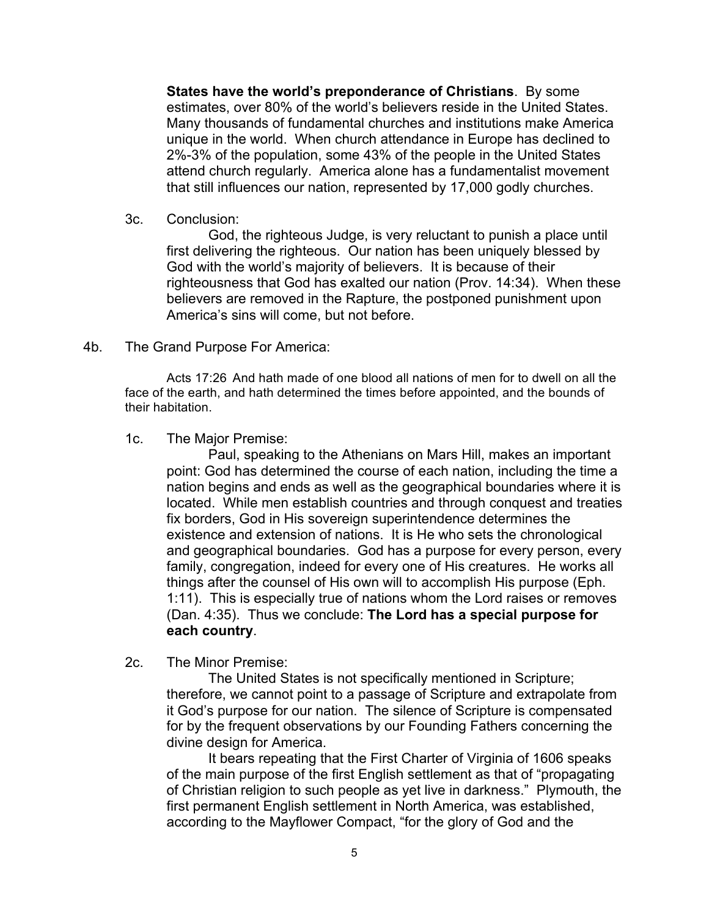**States have the world's preponderance of Christians**. By some estimates, over 80% of the world's believers reside in the United States. Many thousands of fundamental churches and institutions make America unique in the world. When church attendance in Europe has declined to 2%-3% of the population, some 43% of the people in the United States attend church regularly. America alone has a fundamentalist movement that still influences our nation, represented by 17,000 godly churches.

3c. Conclusion:

God, the righteous Judge, is very reluctant to punish a place until first delivering the righteous. Our nation has been uniquely blessed by God with the world's majority of believers. It is because of their righteousness that God has exalted our nation (Prov. 14:34). When these believers are removed in the Rapture, the postponed punishment upon America's sins will come, but not before.

### 4b. The Grand Purpose For America:

Acts 17:26 And hath made of one blood all nations of men for to dwell on all the face of the earth, and hath determined the times before appointed, and the bounds of their habitation.

1c. The Major Premise:

Paul, speaking to the Athenians on Mars Hill, makes an important point: God has determined the course of each nation, including the time a nation begins and ends as well as the geographical boundaries where it is located. While men establish countries and through conquest and treaties fix borders, God in His sovereign superintendence determines the existence and extension of nations. It is He who sets the chronological and geographical boundaries. God has a purpose for every person, every family, congregation, indeed for every one of His creatures. He works all things after the counsel of His own will to accomplish His purpose (Eph. 1:11). This is especially true of nations whom the Lord raises or removes (Dan. 4:35). Thus we conclude: **The Lord has a special purpose for each country**.

2c. The Minor Premise:

The United States is not specifically mentioned in Scripture; therefore, we cannot point to a passage of Scripture and extrapolate from it God's purpose for our nation. The silence of Scripture is compensated for by the frequent observations by our Founding Fathers concerning the divine design for America.

It bears repeating that the First Charter of Virginia of 1606 speaks of the main purpose of the first English settlement as that of "propagating of Christian religion to such people as yet live in darkness." Plymouth, the first permanent English settlement in North America, was established, according to the Mayflower Compact, "for the glory of God and the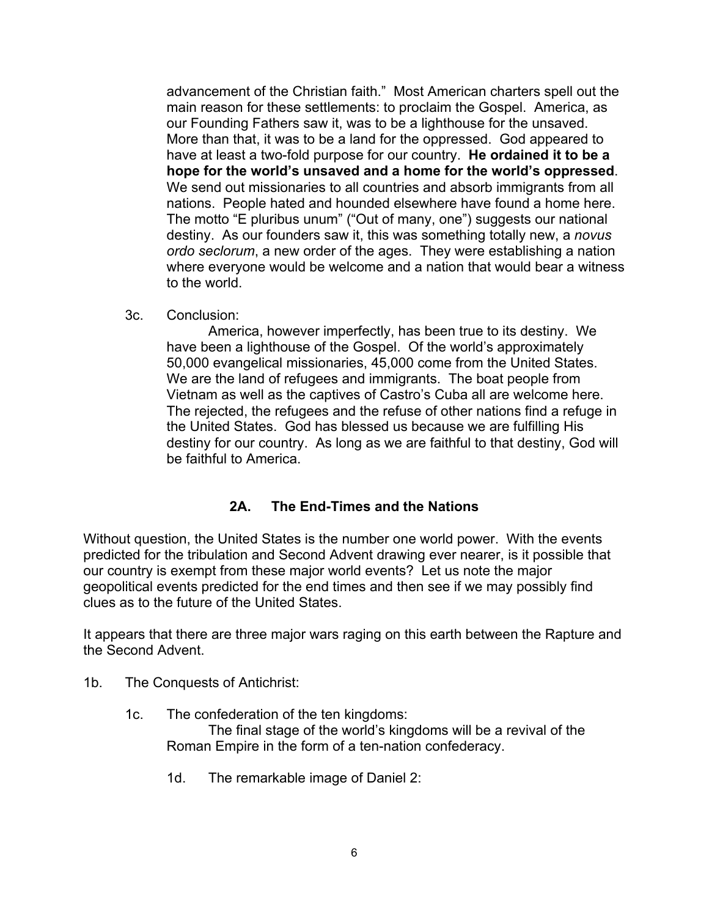advancement of the Christian faith." Most American charters spell out the main reason for these settlements: to proclaim the Gospel. America, as our Founding Fathers saw it, was to be a lighthouse for the unsaved. More than that, it was to be a land for the oppressed. God appeared to have at least a two-fold purpose for our country. **He ordained it to be a hope for the world's unsaved and a home for the world's oppressed**. We send out missionaries to all countries and absorb immigrants from all nations. People hated and hounded elsewhere have found a home here. The motto "E pluribus unum" ("Out of many, one") suggests our national destiny. As our founders saw it, this was something totally new, a *novus ordo seclorum*, a new order of the ages. They were establishing a nation where everyone would be welcome and a nation that would bear a witness to the world.

3c. Conclusion:

America, however imperfectly, has been true to its destiny. We have been a lighthouse of the Gospel. Of the world's approximately 50,000 evangelical missionaries, 45,000 come from the United States. We are the land of refugees and immigrants. The boat people from Vietnam as well as the captives of Castro's Cuba all are welcome here. The rejected, the refugees and the refuse of other nations find a refuge in the United States. God has blessed us because we are fulfilling His destiny for our country. As long as we are faithful to that destiny, God will be faithful to America.

# **2A. The End-Times and the Nations**

Without question, the United States is the number one world power. With the events predicted for the tribulation and Second Advent drawing ever nearer, is it possible that our country is exempt from these major world events? Let us note the major geopolitical events predicted for the end times and then see if we may possibly find clues as to the future of the United States.

It appears that there are three major wars raging on this earth between the Rapture and the Second Advent.

- 1b. The Conquests of Antichrist:
	- 1c. The confederation of the ten kingdoms:

The final stage of the world's kingdoms will be a revival of the Roman Empire in the form of a ten-nation confederacy.

1d. The remarkable image of Daniel 2: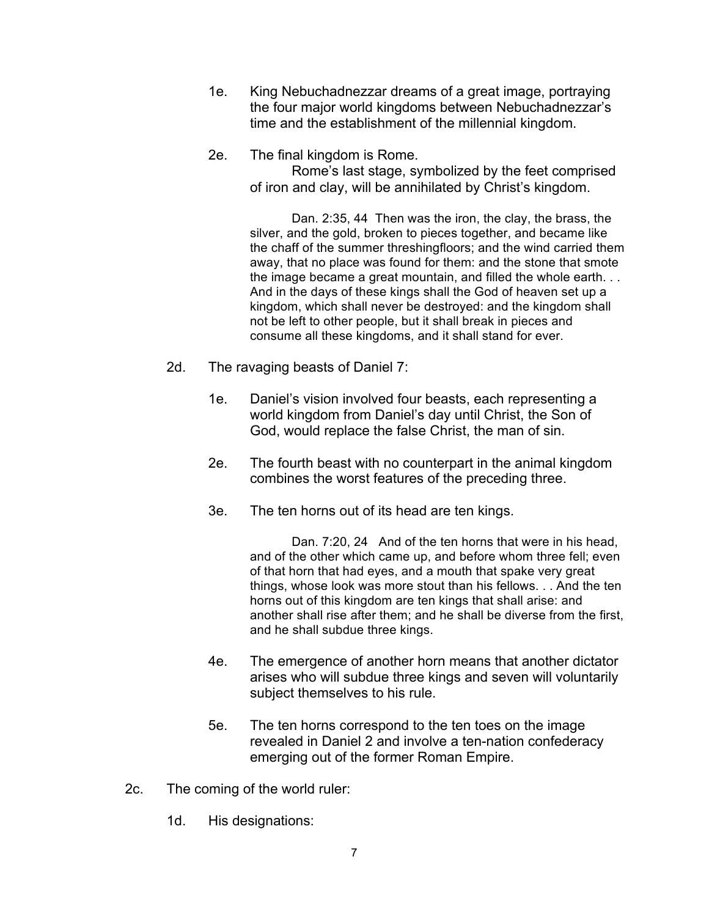- 1e. King Nebuchadnezzar dreams of a great image, portraying the four major world kingdoms between Nebuchadnezzar's time and the establishment of the millennial kingdom.
- 2e. The final kingdom is Rome.

Rome's last stage, symbolized by the feet comprised of iron and clay, will be annihilated by Christ's kingdom.

Dan. 2:35, 44 Then was the iron, the clay, the brass, the silver, and the gold, broken to pieces together, and became like the chaff of the summer threshingfloors; and the wind carried them away, that no place was found for them: and the stone that smote the image became a great mountain, and filled the whole earth. . . And in the days of these kings shall the God of heaven set up a kingdom, which shall never be destroyed: and the kingdom shall not be left to other people, but it shall break in pieces and consume all these kingdoms, and it shall stand for ever.

- 2d. The ravaging beasts of Daniel 7:
	- 1e. Daniel's vision involved four beasts, each representing a world kingdom from Daniel's day until Christ, the Son of God, would replace the false Christ, the man of sin.
	- 2e. The fourth beast with no counterpart in the animal kingdom combines the worst features of the preceding three.
	- 3e. The ten horns out of its head are ten kings.

Dan. 7:20, 24 And of the ten horns that were in his head, and of the other which came up, and before whom three fell; even of that horn that had eyes, and a mouth that spake very great things, whose look was more stout than his fellows. . . And the ten horns out of this kingdom are ten kings that shall arise: and another shall rise after them; and he shall be diverse from the first, and he shall subdue three kings.

- 4e. The emergence of another horn means that another dictator arises who will subdue three kings and seven will voluntarily subject themselves to his rule.
- 5e. The ten horns correspond to the ten toes on the image revealed in Daniel 2 and involve a ten-nation confederacy emerging out of the former Roman Empire.
- 2c. The coming of the world ruler:
	- 1d. His designations: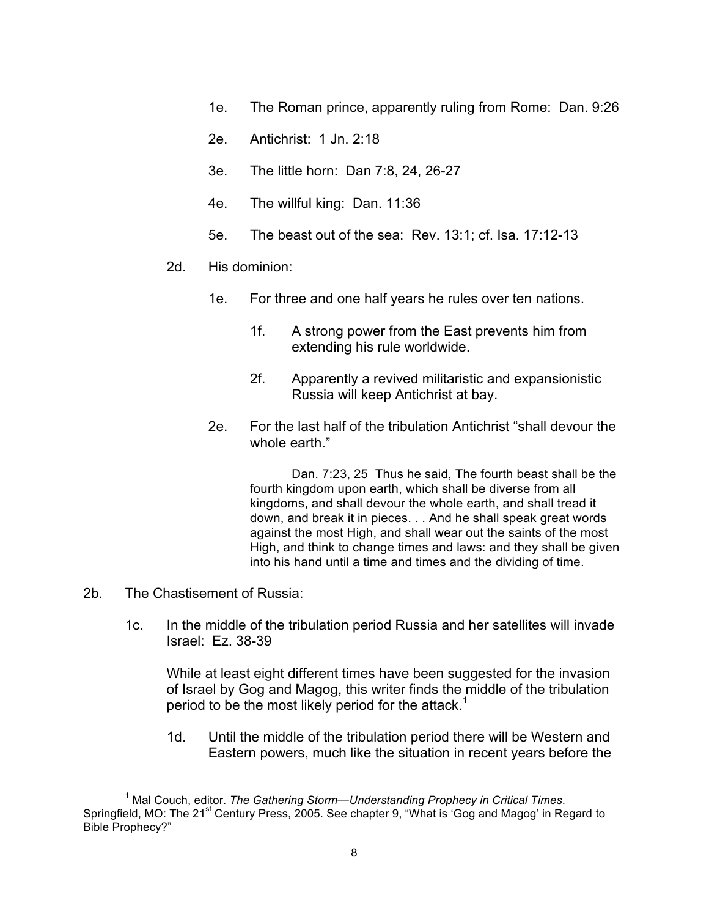- 1e. The Roman prince, apparently ruling from Rome: Dan. 9:26
- 2e. Antichrist: 1 Jn. 2:18
- 3e. The little horn: Dan 7:8, 24, 26-27
- 4e. The willful king: Dan. 11:36
- 5e. The beast out of the sea: Rev. 13:1; cf. Isa. 17:12-13
- 2d. His dominion:
	- 1e. For three and one half years he rules over ten nations.
		- 1f. A strong power from the East prevents him from extending his rule worldwide.
		- 2f. Apparently a revived militaristic and expansionistic Russia will keep Antichrist at bay.
	- 2e. For the last half of the tribulation Antichrist "shall devour the whole earth."

Dan. 7:23, 25 Thus he said, The fourth beast shall be the fourth kingdom upon earth, which shall be diverse from all kingdoms, and shall devour the whole earth, and shall tread it down, and break it in pieces. . . And he shall speak great words against the most High, and shall wear out the saints of the most High, and think to change times and laws: and they shall be given into his hand until a time and times and the dividing of time.

- 2b. The Chastisement of Russia:
	- 1c. In the middle of the tribulation period Russia and her satellites will invade Israel: Ez. 38-39

While at least eight different times have been suggested for the invasion of Israel by Gog and Magog, this writer finds the middle of the tribulation period to be the most likely period for the attack.<sup>1</sup>

1d. Until the middle of the tribulation period there will be Western and Eastern powers, much like the situation in recent years before the

<sup>1</sup> <sup>1</sup> Mal Couch, editor. *The Gathering Storm—Understanding Prophecy in Critical Times.* Springfield, MO: The 21<sup>st</sup> Century Press, 2005. See chapter 9, "What is 'Gog and Magog' in Regard to Bible Prophecy?"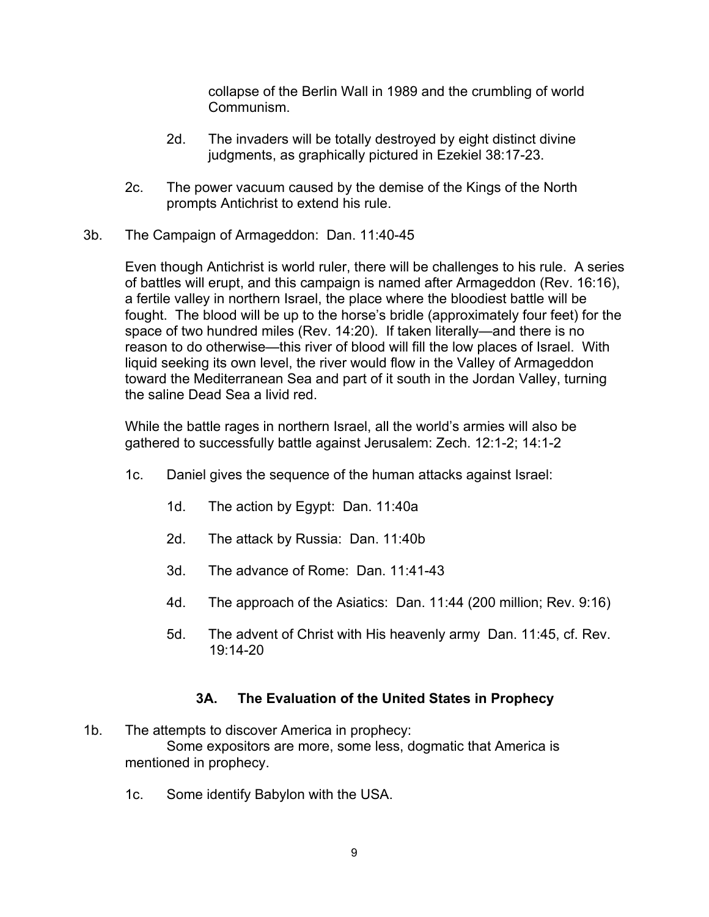collapse of the Berlin Wall in 1989 and the crumbling of world Communism.

- 2d. The invaders will be totally destroyed by eight distinct divine judgments, as graphically pictured in Ezekiel 38:17-23.
- 2c. The power vacuum caused by the demise of the Kings of the North prompts Antichrist to extend his rule.
- 3b. The Campaign of Armageddon: Dan. 11:40-45

Even though Antichrist is world ruler, there will be challenges to his rule. A series of battles will erupt, and this campaign is named after Armageddon (Rev. 16:16), a fertile valley in northern Israel, the place where the bloodiest battle will be fought. The blood will be up to the horse's bridle (approximately four feet) for the space of two hundred miles (Rev. 14:20). If taken literally—and there is no reason to do otherwise—this river of blood will fill the low places of Israel. With liquid seeking its own level, the river would flow in the Valley of Armageddon toward the Mediterranean Sea and part of it south in the Jordan Valley, turning the saline Dead Sea a livid red.

While the battle rages in northern Israel, all the world's armies will also be gathered to successfully battle against Jerusalem: Zech. 12:1-2; 14:1-2

- 1c. Daniel gives the sequence of the human attacks against Israel:
	- 1d. The action by Egypt: Dan. 11:40a
	- 2d. The attack by Russia: Dan. 11:40b
	- 3d. The advance of Rome: Dan. 11:41-43
	- 4d. The approach of the Asiatics: Dan. 11:44 (200 million; Rev. 9:16)
	- 5d. The advent of Christ with His heavenly army Dan. 11:45, cf. Rev. 19:14-20

# **3A. The Evaluation of the United States in Prophecy**

- 1b. The attempts to discover America in prophecy: Some expositors are more, some less, dogmatic that America is mentioned in prophecy.
	- 1c. Some identify Babylon with the USA.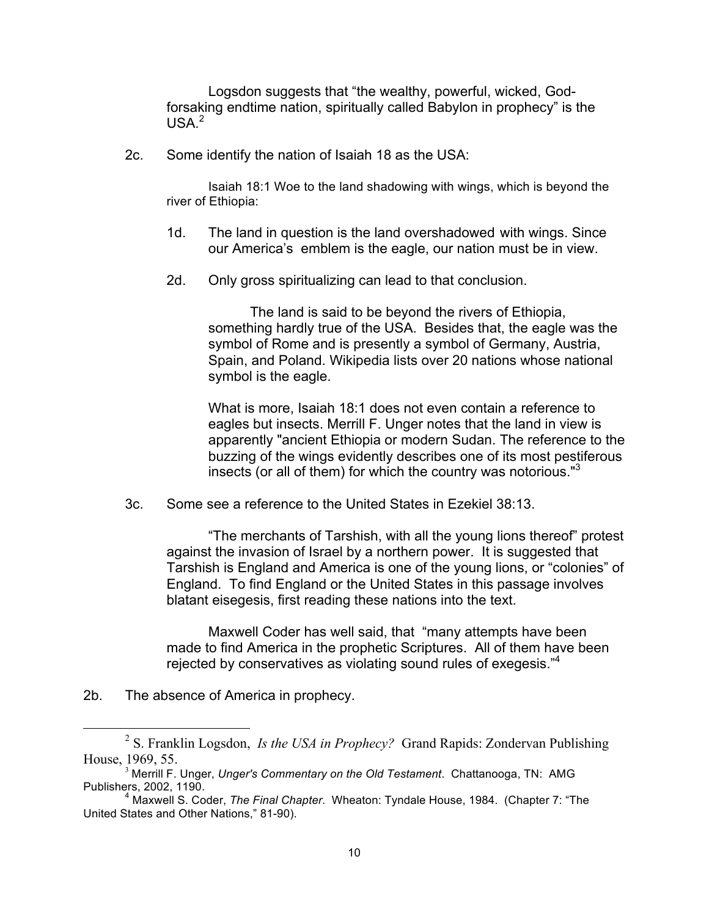Logsdon suggests that "the wealthy, powerful, wicked, Godforsaking endtime nation, spiritually called Babylon in prophecy" is the  $USA<sup>2</sup>$ 

2c. Some identify the nation of Isaiah 18 as the USA:

Isaiah 18:1 Woe to the land shadowing with wings, which is beyond the river of Ethiopia:

- 1d. The land in question is the land overshadowed with wings. Since our America's emblem is the eagle, our nation must be in view.
- 2d. Only gross spiritualizing can lead to that conclusion.

The land is said to be beyond the rivers of Ethiopia, something hardly true of the USA. Besides that, the eagle was the symbol of Rome and is presently a symbol of Germany, Austria, Spain, and Poland. Wikipedia lists over 20 nations whose national symbol is the eagle.

What is more, Isaiah 18:1 does not even contain a reference to eagles but insects. Merrill F. Unger notes that the land in view is apparently "ancient Ethiopia or modern Sudan. The reference to the buzzing of the wings evidently describes one of its most pestiferous insects (or all of them) for which the country was notorious."3

3c. Some see a reference to the United States in Ezekiel 38:13.

"The merchants of Tarshish, with all the young lions thereof" protest against the invasion of Israel by a northern power. It is suggested that Tarshish is England and America is one of the young lions, or "colonies" of England. To find England or the United States in this passage involves blatant eisegesis, first reading these nations into the text.

Maxwell Coder has well said, that "many attempts have been made to find America in the prophetic Scriptures. All of them have been rejected by conservatives as violating sound rules of exegesis."<sup>4</sup>

2b. The absence of America in prophecy.

 <sup>2</sup> <sup>2</sup> S. Franklin Logsdon, *Is the USA in Prophecy?* Grand Rapids: Zondervan Publishing House, 1969, 55.<br><sup>3</sup> Merrill F. Unger, *Unger's Commentary on the Old Testament*. Chattanooga, TN: AMG

Publishers, 2002, 1190.

<sup>4</sup> Maxwell S. Coder, *The Final Chapter*. Wheaton: Tyndale House, 1984. (Chapter 7: "The United States and Other Nations," 81-90).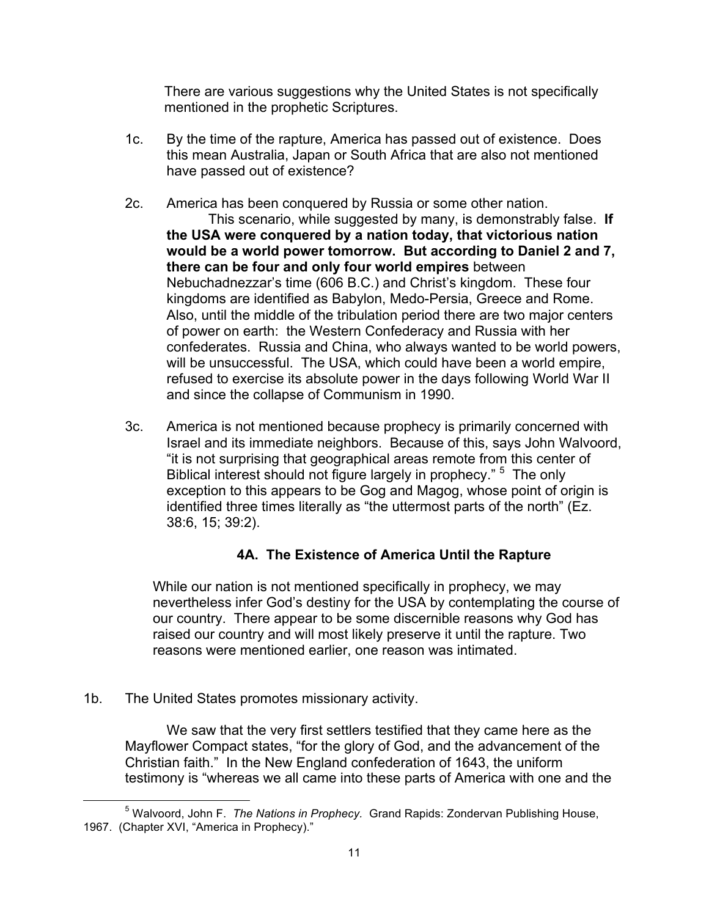There are various suggestions why the United States is not specifically mentioned in the prophetic Scriptures.

- 1c. By the time of the rapture, America has passed out of existence. Does this mean Australia, Japan or South Africa that are also not mentioned have passed out of existence?
- 2c. America has been conquered by Russia or some other nation.

This scenario, while suggested by many, is demonstrably false. **If the USA were conquered by a nation today, that victorious nation would be a world power tomorrow. But according to Daniel 2 and 7, there can be four and only four world empires** between Nebuchadnezzar's time (606 B.C.) and Christ's kingdom. These four kingdoms are identified as Babylon, Medo-Persia, Greece and Rome. Also, until the middle of the tribulation period there are two major centers of power on earth: the Western Confederacy and Russia with her confederates. Russia and China, who always wanted to be world powers, will be unsuccessful. The USA, which could have been a world empire, refused to exercise its absolute power in the days following World War II and since the collapse of Communism in 1990.

3c. America is not mentioned because prophecy is primarily concerned with Israel and its immediate neighbors. Because of this, says John Walvoord, "it is not surprising that geographical areas remote from this center of Biblical interest should not figure largely in prophecy." <sup>5</sup> The only exception to this appears to be Gog and Magog, whose point of origin is identified three times literally as "the uttermost parts of the north" (Ez. 38:6, 15; 39:2).

# **4A. The Existence of America Until the Rapture**

 While our nation is not mentioned specifically in prophecy, we may nevertheless infer God's destiny for the USA by contemplating the course of our country. There appear to be some discernible reasons why God has raised our country and will most likely preserve it until the rapture. Two reasons were mentioned earlier, one reason was intimated.

# 1b. The United States promotes missionary activity.

We saw that the very first settlers testified that they came here as the Mayflower Compact states, "for the glory of God, and the advancement of the Christian faith." In the New England confederation of 1643, the uniform testimony is "whereas we all came into these parts of America with one and the

 $\frac{1}{5}$ <sup>5</sup> Walvoord, John F. *The Nations in Prophecy.* Grand Rapids: Zondervan Publishing House, 1967. (Chapter XVI, "America in Prophecy)."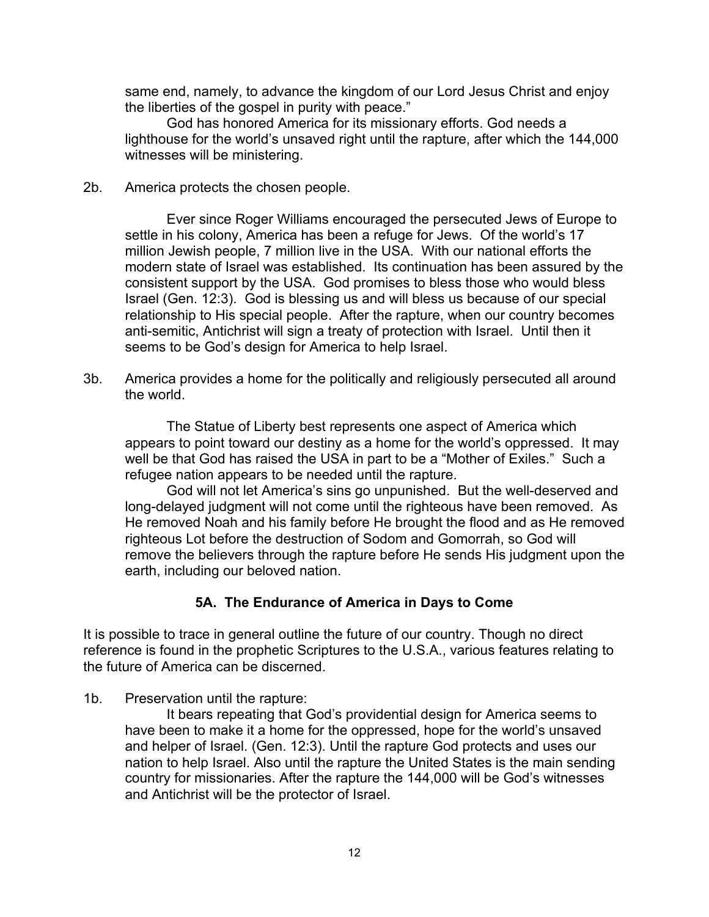same end, namely, to advance the kingdom of our Lord Jesus Christ and enjoy the liberties of the gospel in purity with peace."

God has honored America for its missionary efforts. God needs a lighthouse for the world's unsaved right until the rapture, after which the 144,000 witnesses will be ministering.

2b. America protects the chosen people.

Ever since Roger Williams encouraged the persecuted Jews of Europe to settle in his colony, America has been a refuge for Jews. Of the world's 17 million Jewish people, 7 million live in the USA. With our national efforts the modern state of Israel was established. Its continuation has been assured by the consistent support by the USA. God promises to bless those who would bless Israel (Gen. 12:3). God is blessing us and will bless us because of our special relationship to His special people. After the rapture, when our country becomes anti-semitic, Antichrist will sign a treaty of protection with Israel. Until then it seems to be God's design for America to help Israel.

3b. America provides a home for the politically and religiously persecuted all around the world.

The Statue of Liberty best represents one aspect of America which appears to point toward our destiny as a home for the world's oppressed. It may well be that God has raised the USA in part to be a "Mother of Exiles." Such a refugee nation appears to be needed until the rapture.

God will not let America's sins go unpunished. But the well-deserved and long-delayed judgment will not come until the righteous have been removed. As He removed Noah and his family before He brought the flood and as He removed righteous Lot before the destruction of Sodom and Gomorrah, so God will remove the believers through the rapture before He sends His judgment upon the earth, including our beloved nation.

# **5A. The Endurance of America in Days to Come**

It is possible to trace in general outline the future of our country. Though no direct reference is found in the prophetic Scriptures to the U.S.A., various features relating to the future of America can be discerned.

1b. Preservation until the rapture:

It bears repeating that God's providential design for America seems to have been to make it a home for the oppressed, hope for the world's unsaved and helper of Israel. (Gen. 12:3). Until the rapture God protects and uses our nation to help Israel. Also until the rapture the United States is the main sending country for missionaries. After the rapture the 144,000 will be God's witnesses and Antichrist will be the protector of Israel.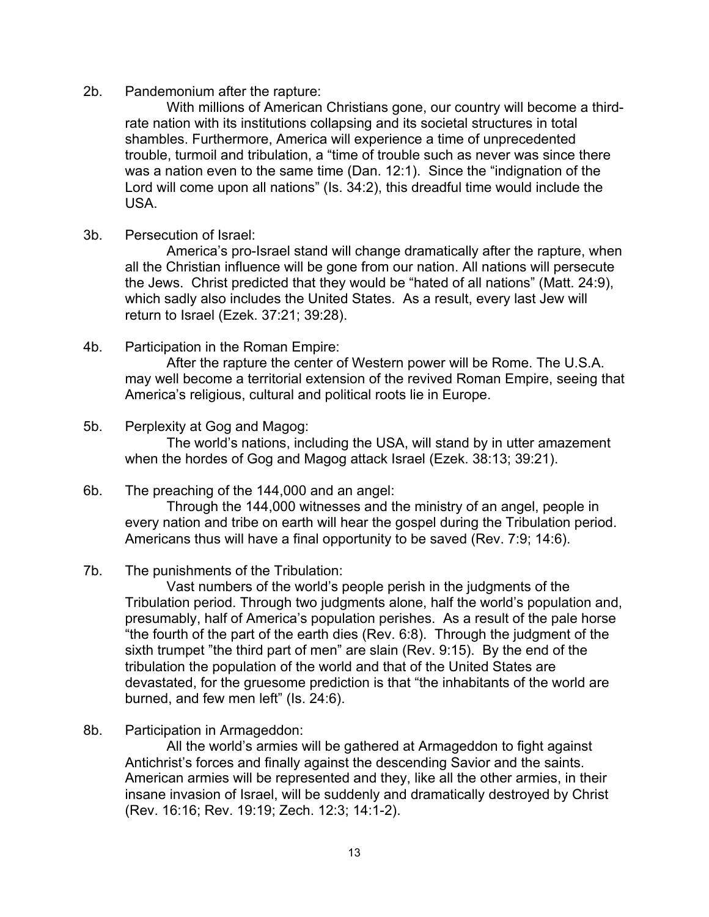### 2b. Pandemonium after the rapture:

With millions of American Christians gone, our country will become a thirdrate nation with its institutions collapsing and its societal structures in total shambles. Furthermore, America will experience a time of unprecedented trouble, turmoil and tribulation, a "time of trouble such as never was since there was a nation even to the same time (Dan. 12:1). Since the "indignation of the Lord will come upon all nations" (Is. 34:2), this dreadful time would include the USA.

3b. Persecution of Israel:

America's pro-Israel stand will change dramatically after the rapture, when all the Christian influence will be gone from our nation. All nations will persecute the Jews. Christ predicted that they would be "hated of all nations" (Matt. 24:9), which sadly also includes the United States. As a result, every last Jew will return to Israel (Ezek. 37:21; 39:28).

4b. Participation in the Roman Empire:

After the rapture the center of Western power will be Rome. The U.S.A. may well become a territorial extension of the revived Roman Empire, seeing that America's religious, cultural and political roots lie in Europe.

## 5b. Perplexity at Gog and Magog:

The world's nations, including the USA, will stand by in utter amazement when the hordes of Gog and Magog attack Israel (Ezek. 38:13; 39:21).

## 6b. The preaching of the 144,000 and an angel:

Through the 144,000 witnesses and the ministry of an angel, people in every nation and tribe on earth will hear the gospel during the Tribulation period. Americans thus will have a final opportunity to be saved (Rev. 7:9; 14:6).

# 7b. The punishments of the Tribulation:

Vast numbers of the world's people perish in the judgments of the Tribulation period. Through two judgments alone, half the world's population and, presumably, half of America's population perishes. As a result of the pale horse "the fourth of the part of the earth dies (Rev. 6:8). Through the judgment of the sixth trumpet "the third part of men" are slain (Rev. 9:15). By the end of the tribulation the population of the world and that of the United States are devastated, for the gruesome prediction is that "the inhabitants of the world are burned, and few men left" (Is. 24:6).

8b. Participation in Armageddon:

All the world's armies will be gathered at Armageddon to fight against Antichrist's forces and finally against the descending Savior and the saints. American armies will be represented and they, like all the other armies, in their insane invasion of Israel, will be suddenly and dramatically destroyed by Christ (Rev. 16:16; Rev. 19:19; Zech. 12:3; 14:1-2).